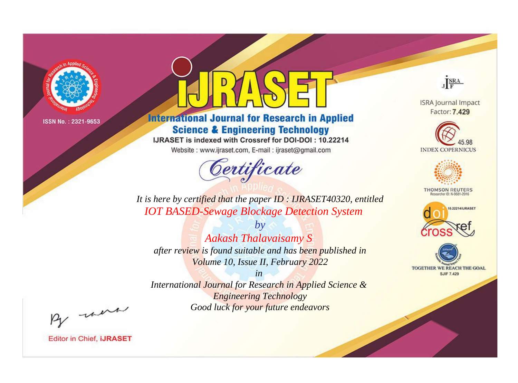

# **International Journal for Research in Applied Science & Engineering Technology**

IJRASET is indexed with Crossref for DOI-DOI: 10.22214

Website: www.ijraset.com, E-mail: ijraset@gmail.com



JERA

**ISRA Journal Impact** Factor: 7.429





**THOMSON REUTERS** 



TOGETHER WE REACH THE GOAL **SJIF 7.429** 

It is here by certified that the paper ID : IJRASET40320, entitled **IOT BASED-Sewage Blockage Detection System** 

 $b\nu$ **Aakash Thalavaisamy S** after review is found suitable and has been published in Volume 10, Issue II, February 2022

 $in$ International Journal for Research in Applied Science & **Engineering Technology** Good luck for your future endeavors

By morn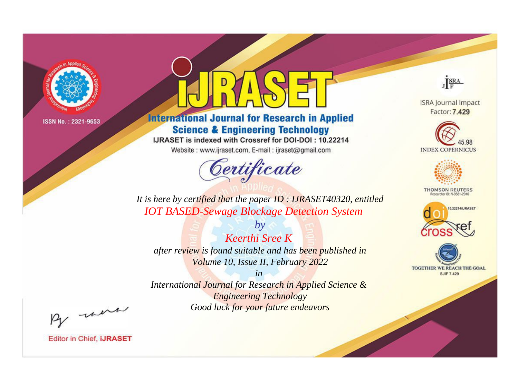

# **International Journal for Research in Applied Science & Engineering Technology**

IJRASET is indexed with Crossref for DOI-DOI: 10.22214

Website: www.ijraset.com, E-mail: ijraset@gmail.com



JERA

**ISRA Journal Impact** Factor: 7.429





**THOMSON REUTERS** 



TOGETHER WE REACH THE GOAL **SJIF 7.429** 

It is here by certified that the paper ID : IJRASET40320, entitled **IOT BASED-Sewage Blockage Detection System** 

**Keerthi Sree K** after review is found suitable and has been published in Volume 10, Issue II, February 2022

 $b\nu$ 

 $in$ International Journal for Research in Applied Science & **Engineering Technology** Good luck for your future endeavors

By morn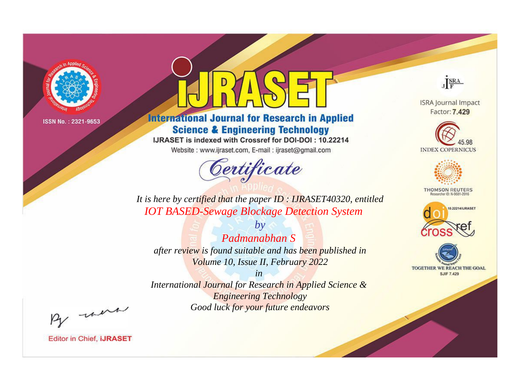

# **International Journal for Research in Applied Science & Engineering Technology**

IJRASET is indexed with Crossref for DOI-DOI: 10.22214

Website: www.ijraset.com, E-mail: ijraset@gmail.com



JERA

**ISRA Journal Impact** Factor: 7.429





**THOMSON REUTERS** 



TOGETHER WE REACH THE GOAL **SJIF 7.429** 

It is here by certified that the paper ID : IJRASET40320, entitled **IOT BASED-Sewage Blockage Detection System** 

 $b\nu$ Padmanabhan S after review is found suitable and has been published in Volume 10, Issue II, February 2022

 $in$ International Journal for Research in Applied Science & **Engineering Technology** Good luck for your future endeavors

By morn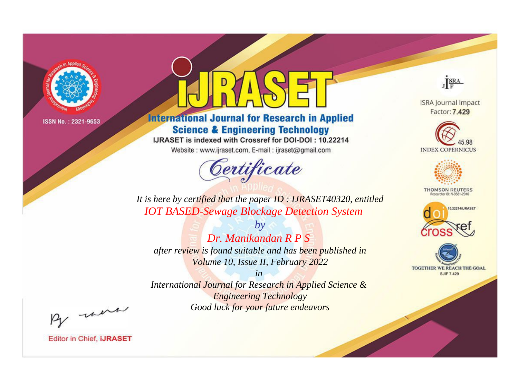

# **International Journal for Research in Applied Science & Engineering Technology**

IJRASET is indexed with Crossref for DOI-DOI: 10.22214

Website: www.ijraset.com, E-mail: ijraset@gmail.com



JERA

**ISRA Journal Impact** Factor: 7.429





**THOMSON REUTERS** 



TOGETHER WE REACH THE GOAL **SJIF 7.429** 

It is here by certified that the paper ID : IJRASET40320, entitled **IOT BASED-Sewage Blockage Detection System** 

 $b\nu$ Dr. Manikandan R P S after review is found suitable and has been published in Volume 10, Issue II, February 2022

 $in$ International Journal for Research in Applied Science & **Engineering Technology** Good luck for your future endeavors

By morn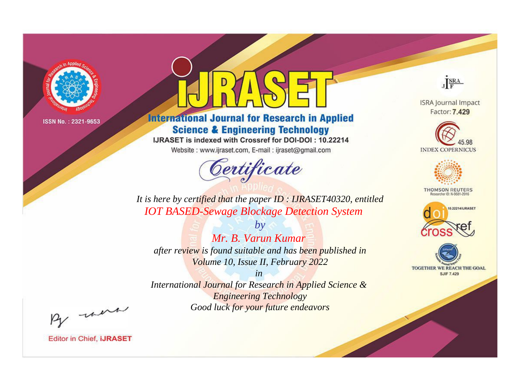

# **International Journal for Research in Applied Science & Engineering Technology**

IJRASET is indexed with Crossref for DOI-DOI: 10.22214

Website: www.ijraset.com, E-mail: ijraset@gmail.com



JERA

**ISRA Journal Impact** Factor: 7.429





**THOMSON REUTERS** 



TOGETHER WE REACH THE GOAL **SJIF 7.429** 

It is here by certified that the paper ID : IJRASET40320, entitled **IOT BASED-Sewage Blockage Detection System** 

Mr. B. Varun Kumar after review is found suitable and has been published in Volume 10, Issue II, February 2022

 $b\nu$ 

 $in$ International Journal for Research in Applied Science & **Engineering Technology** Good luck for your future endeavors

By morn